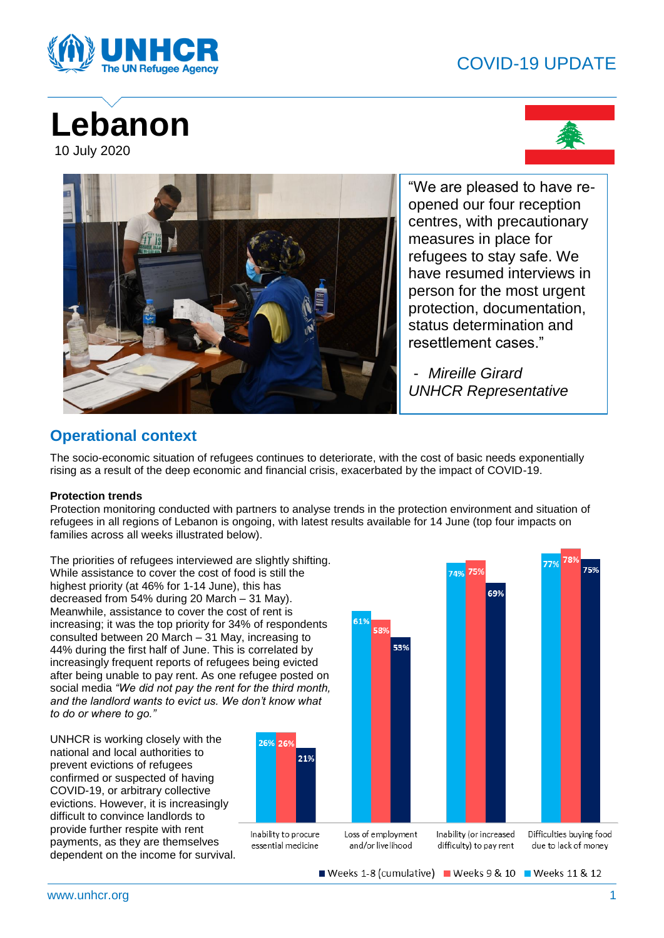## COVID-19 UPDATE



# **Lebanon** 10 July 2020





"We are pleased to have reopened our four reception centres, with precautionary measures in place for refugees to stay safe. We have resumed interviews in person for the most urgent protection, documentation, status determination and resettlement cases."

- *Mireille Girard UNHCR Representative* 

### **Operational context**

The socio-economic situation of refugees continues to deteriorate, with the cost of basic needs exponentially rising as a result of the deep economic and financial crisis, exacerbated by the impact of COVID-19.

#### **Protection trends**

Protection monitoring conducted with partners to analyse trends in the protection environment and situation of refugees in all regions of Lebanon is ongoing, with latest results available for 14 June (top four impacts on families across all weeks illustrated below).

The priorities of refugees interviewed are slightly shifting. While assistance to cover the cost of food is still the highest priority (at 46% for 1-14 June), this has decreased from 54% during 20 March – 31 May). Meanwhile, assistance to cover the cost of rent is increasing; it was the top priority for 34% of respondents consulted between 20 March – 31 May, increasing to 44% during the first half of June. This is correlated by increasingly frequent reports of refugees being evicted after being unable to pay rent. As one refugee posted on social media *"We did not pay the rent for the third month, and the landlord wants to evict us. We don't know what to do or where to go."*

UNHCR is working closely with the national and local authorities to prevent evictions of refugees confirmed or suspected of having COVID-19, or arbitrary collective evictions. However, it is increasingly difficult to convince landlords to provide further respite with rent payments, as they are themselves dependent on the income for survival.





Weeks 1-8 (cumulative) Weeks 9 & 10 Weeks 11 & 12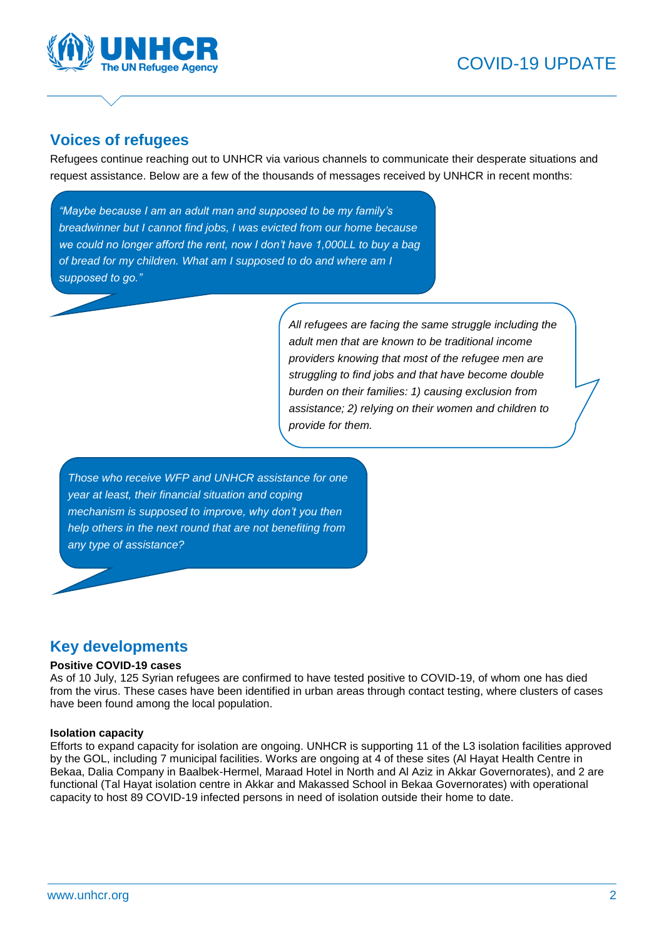

### **Voices of refugees**

Refugees continue reaching out to UNHCR via various channels to communicate their desperate situations and request assistance. Below are a few of the thousands of messages received by UNHCR in recent months:

*"Maybe because I am an adult man and supposed to be my family's breadwinner but I cannot find jobs, I was evicted from our home because we could no longer afford the rent, now I don't have 1,000LL to buy a bag of bread for my children. What am I supposed to do and where am I supposed to go."*

> *All refugees are facing the same struggle including the adult men that are known to be traditional income providers knowing that most of the refugee men are struggling to find jobs and that have become double burden on their families: 1) causing exclusion from assistance; 2) relying on their women and children to provide for them.*

*Those who receive WFP and UNHCR assistance for one year at least, their financial situation and coping mechanism is supposed to improve, why don't you then help others in the next round that are not benefiting from any type of assistance?*

### **Key developments**

#### **Positive COVID-19 cases**

As of 10 July, 125 Syrian refugees are confirmed to have tested positive to COVID-19, of whom one has died from the virus. These cases have been identified in urban areas through contact testing, where clusters of cases have been found among the local population.

#### **Isolation capacity**

Efforts to expand capacity for isolation are ongoing. UNHCR is supporting 11 of the L3 isolation facilities approved by the GOL, including 7 municipal facilities. Works are ongoing at 4 of these sites (Al Hayat Health Centre in Bekaa, Dalia Company in Baalbek-Hermel, Maraad Hotel in North and Al Aziz in Akkar Governorates), and 2 are functional (Tal Hayat isolation centre in Akkar and Makassed School in Bekaa Governorates) with operational capacity to host 89 COVID-19 infected persons in need of isolation outside their home to date.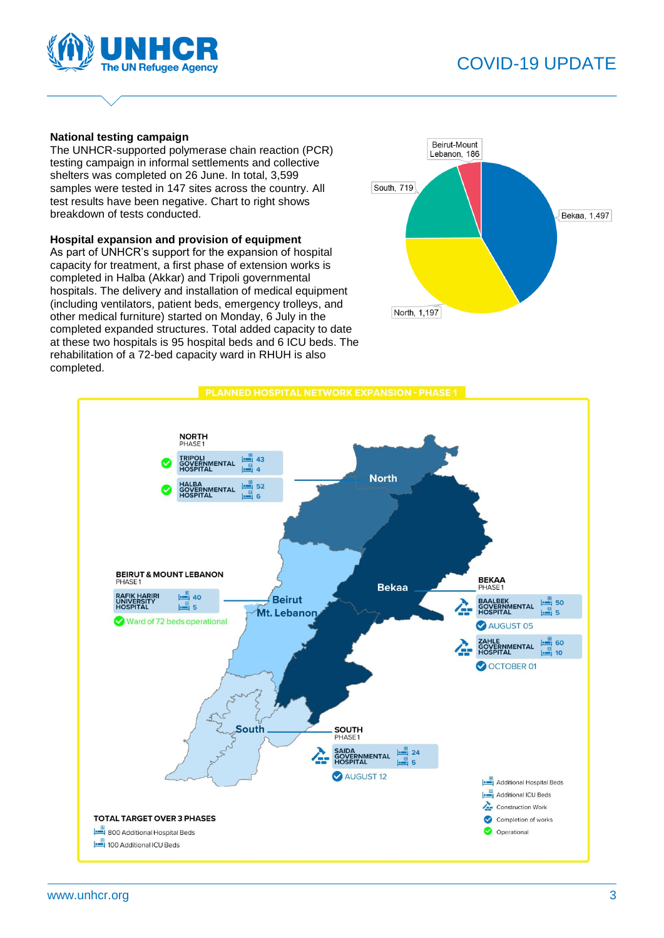

# COVID-19 UPDATE

#### **National testing campaign**

The UNHCR-supported polymerase chain reaction (PCR) testing campaign in informal settlements and collective shelters was completed on 26 June. In total, 3,599 samples were tested in 147 sites across the country. All test results have been negative. Chart to right shows breakdown of tests conducted.

#### **Hospital expansion and provision of equipment**

As part of UNHCR's support for the expansion of hospital capacity for treatment, a first phase of extension works is completed in Halba (Akkar) and Tripoli governmental hospitals. The delivery and installation of medical equipment (including ventilators, patient beds, emergency trolleys, and other medical furniture) started on Monday, 6 July in the completed expanded structures. Total added capacity to date at these two hospitals is 95 hospital beds and 6 ICU beds. The rehabilitation of a 72-bed capacity ward in RHUH is also completed.



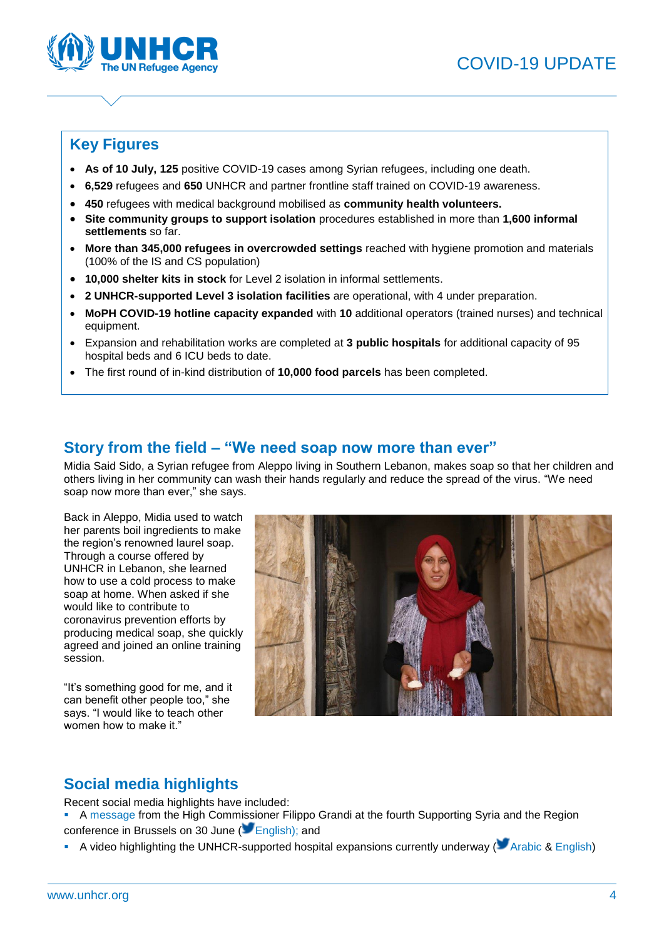

### **Key Figures**

- **As of 10 July, 125** positive COVID-19 cases among Syrian refugees, including one death.
- **6,529** refugees and **650** UNHCR and partner frontline staff trained on COVID-19 awareness.
- **450** refugees with medical background mobilised as **community health volunteers.**
- **Site community groups to support isolation** procedures established in more than **1,600 informal settlements** so far.
- **More than 345,000 refugees in overcrowded settings** reached with hygiene promotion and materials (100% of the IS and CS population)
- **10,000 shelter kits in stock** for Level 2 isolation in informal settlements.
- **2 UNHCR-supported Level 3 isolation facilities** are operational, with 4 under preparation.
- **MoPH COVID-19 hotline capacity expanded** with **10** additional operators (trained nurses) and technical equipment.
- Expansion and rehabilitation works are completed at **3 public hospitals** for additional capacity of 95 hospital beds and 6 ICU beds to date.
- The first round of in-kind distribution of **10,000 food parcels** has been completed.

### **Story from the field – "We need soap now more than ever"**

Midia Said Sido, a Syrian refugee from Aleppo living in Southern Lebanon, makes soap so that her children and others living in her community can wash their hands regularly and reduce the spread of the virus. "We need soap now more than ever," she says.

Back in Aleppo, Midia used to watch her parents boil ingredients to make the region's renowned laurel soap. Through a course offered by UNHCR in Lebanon, she learned how to use a cold process to make soap at home. When asked if she would like to contribute to coronavirus prevention efforts by producing medical soap, she quickly agreed and joined an online training session.

"It's something good for me, and it can benefit other people too," she says. "I would like to teach other women how to make it."



### **Social media highlights**

Recent social media highlights have included:

- A [message](https://twitter.com/UNHCRLebanon/status/1277639715466797056?s=20) from the High Commissioner Filippo Grandi at the fourth Supporting Syria and the Region conference in Brussels on 30 June (**Canadianal**); and
- A video highlighting the UNHCR-supported hospital expansions currently underway ( $\blacksquare$  [Arabic](https://twitter.com/UNHCRLebanon/status/1278312650074517506?s=20) & [English\)](https://twitter.com/UNHCRLebanon/status/1278300144350441472?s=20)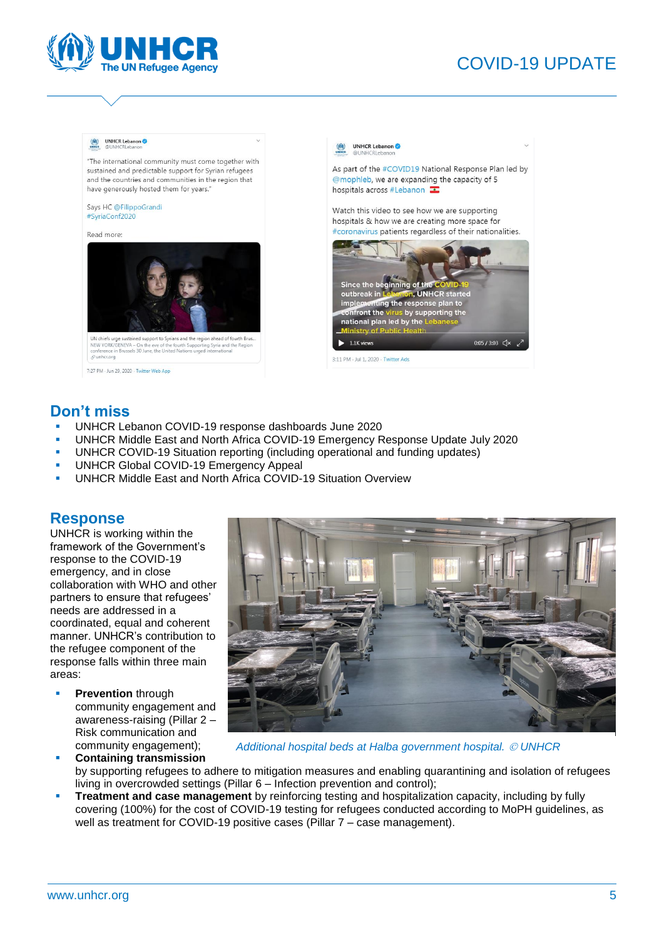

# COVID-19 UPDATE

#### UNHCR Lebanon

"The international community must come together with sustained and predictable support for Syrian refugees and the countries and communities in the region that have generously hosted them for years."

Says HC @FilippoGrandi #SyriaConf2020

Read more:



UN chiefs urge sustained support to Syrians and the region ahead of fourth Brus.<br>NEW YORK/GENEVA – On the eve of the fourth Supporting Syria and the Region<br>conference in Brussels 30 June, the United Nations urged internati  $\mathcal Q$  unhcr.org

7:27 PM - Jun 29, 2020 - Twitter Web App



#### **Don't miss**

- [UNHCR Lebanon COVID-19 response dashboards](https://www.unhcr.org/lb/wp-content/uploads/sites/16/2020/07/UNHCR-Lebanon-COVID-19-Response-Dashboards-June-2020.pdf) June 2020
- [UNHCR Middle East and North Africa COVID-19 Emergency Response Update](https://data2.unhcr.org/en/documents/download/77428) July 2020
- [UNHCR COVID-19 Situation](http://reporting.unhcr.org/covid-19) reporting (including operational and funding updates)
- [UNHCR Global COVID-19 Emergency Appeal](http://reporting.unhcr.org/covid-19-appeal)
- [UNHCR Middle East and North Africa COVID-19 Situation Overview](https://data2.unhcr.org/en/documents/download/76678)

#### **Response**

UNHCR is working within the framework of the Government's response to the COVID-19 emergency, and in close collaboration with WHO and other partners to ensure that refugees' needs are addressed in a coordinated, equal and coherent manner. UNHCR's contribution to the refugee component of the response falls within three main areas:

- **Prevention** through community engagement and awareness-raising (Pillar 2 – Risk communication and community engagement);
- **Containing transmission**



*Additional hospital beds at Halba government hospital. UNHCR*

- by supporting refugees to adhere to mitigation measures and enabling quarantining and isolation of refugees living in overcrowded settings (Pillar 6 – Infection prevention and control);
- **Treatment and case management** by reinforcing testing and hospitalization capacity, including by fully covering (100%) for the cost of COVID-19 testing for refugees conducted according to MoPH guidelines, as well as treatment for COVID-19 positive cases (Pillar 7 – case management).